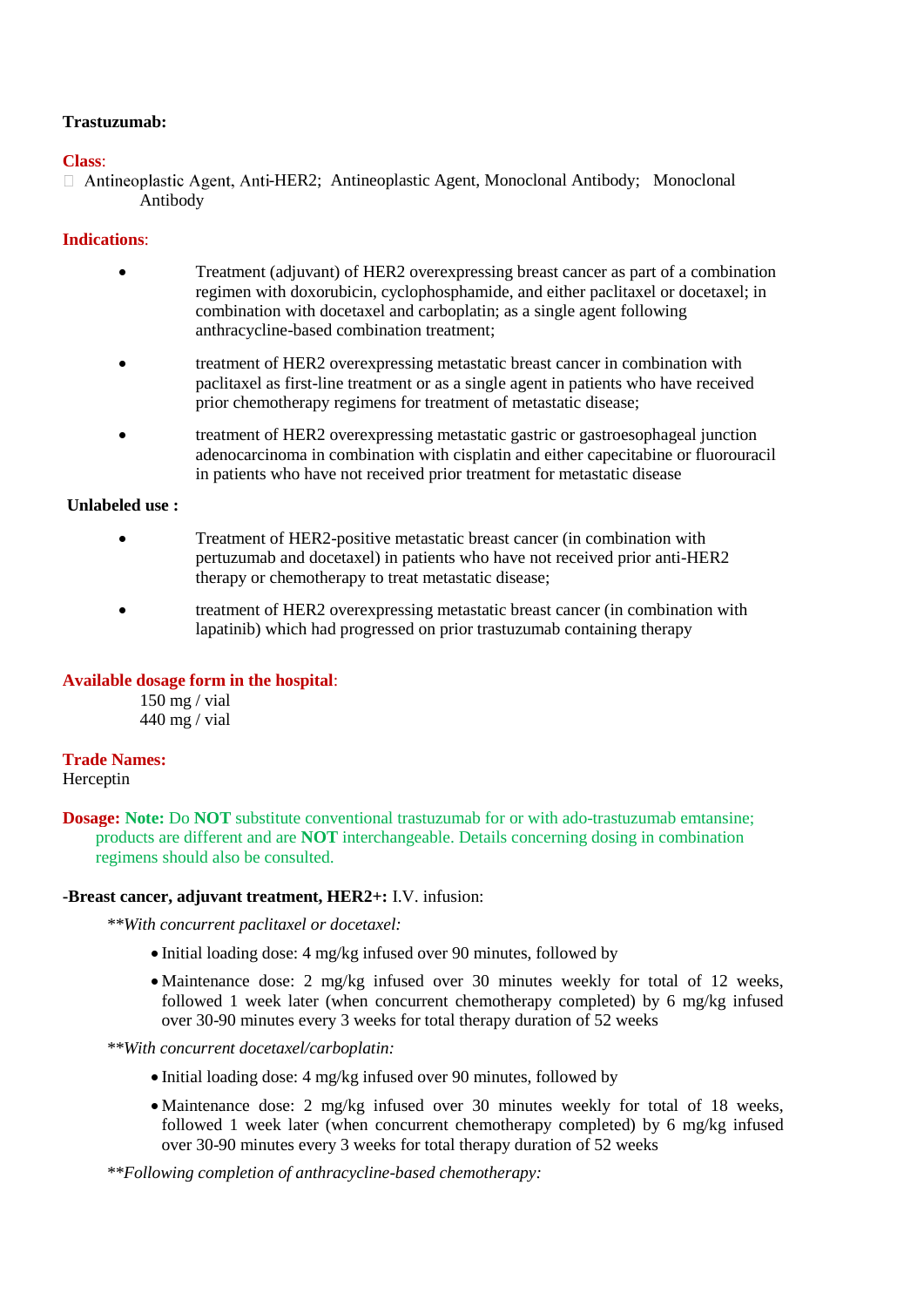# **Trastuzumab:**

## **Class**:

 $\Box$  Antineoplastic Agent, Anti-HER2; Antineoplastic Agent, Monoclonal Antibody; Monoclonal Antibody

# **Indications**:

- Treatment (adjuvant) of HER2 overexpressing breast cancer as part of a combination regimen with doxorubicin, cyclophosphamide, and either paclitaxel or docetaxel; in combination with docetaxel and carboplatin; as a single agent following anthracycline-based combination treatment;
- treatment of HER2 overexpressing metastatic breast cancer in combination with paclitaxel as first-line treatment or as a single agent in patients who have received prior chemotherapy regimens for treatment of metastatic disease;
- treatment of HER2 overexpressing metastatic gastric or gastroesophageal junction adenocarcinoma in combination with cisplatin and either capecitabine or fluorouracil in patients who have not received prior treatment for metastatic disease

# **Unlabeled use :**

- Treatment of HER2-positive metastatic breast cancer (in combination with pertuzumab and docetaxel) in patients who have not received prior anti-HER2 therapy or chemotherapy to treat metastatic disease;
- treatment of HER2 overexpressing metastatic breast cancer (in combination with lapatinib) which had progressed on prior trastuzumab containing therapy

# **Available dosage form in the hospital**:

150 mg / vial 440 mg / vial

# **Trade Names:**

Herceptin

**Dosage: Note:** Do **NOT** substitute conventional trastuzumab for or with ado-trastuzumab emtansine; products are different and are **NOT** interchangeable. Details concerning dosing in combination regimens should also be consulted.

#### **-Breast cancer, adjuvant treatment, HER2+:** I.V. infusion:

*\*\*With concurrent paclitaxel or docetaxel:*

- Initial loading dose: 4 mg/kg infused over 90 minutes, followed by
- Maintenance dose: 2 mg/kg infused over 30 minutes weekly for total of 12 weeks, followed 1 week later (when concurrent chemotherapy completed) by 6 mg/kg infused over 30-90 minutes every 3 weeks for total therapy duration of 52 weeks

## *\*\*With concurrent docetaxel/carboplatin:*

- Initial loading dose: 4 mg/kg infused over 90 minutes, followed by
- Maintenance dose: 2 mg/kg infused over 30 minutes weekly for total of 18 weeks, followed 1 week later (when concurrent chemotherapy completed) by 6 mg/kg infused over 30-90 minutes every 3 weeks for total therapy duration of 52 weeks

*\*\*Following completion of anthracycline-based chemotherapy:*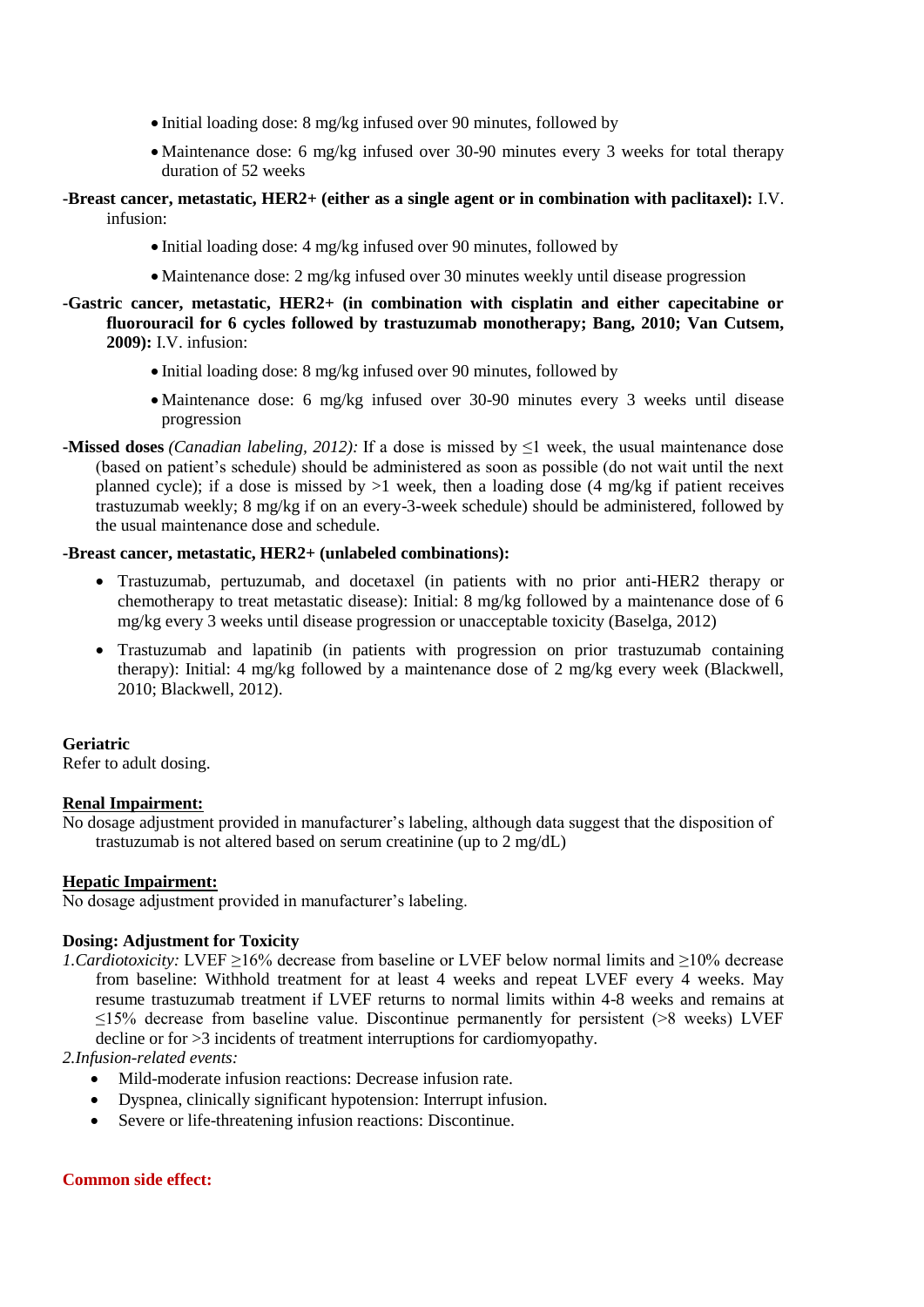- Initial loading dose: 8 mg/kg infused over 90 minutes, followed by
- Maintenance dose: 6 mg/kg infused over 30-90 minutes every 3 weeks for total therapy duration of 52 weeks
- **-Breast cancer, metastatic, HER2+ (either as a single agent or in combination with paclitaxel):** I.V. infusion:
	- Initial loading dose: 4 mg/kg infused over 90 minutes, followed by
	- Maintenance dose: 2 mg/kg infused over 30 minutes weekly until disease progression

## **-Gastric cancer, metastatic, HER2+ (in combination with cisplatin and either capecitabine or fluorouracil for 6 cycles followed by trastuzumab monotherapy; Bang, 2010; Van Cutsem, 2009):** I.V. infusion:

- Initial loading dose: 8 mg/kg infused over 90 minutes, followed by
- Maintenance dose: 6 mg/kg infused over 30-90 minutes every 3 weeks until disease progression
- **-Missed doses** *(Canadian labeling, 2012):* If a dose is missed by ≤1 week, the usual maintenance dose (based on patient's schedule) should be administered as soon as possible (do not wait until the next planned cycle); if a dose is missed by  $>1$  week, then a loading dose (4 mg/kg if patient receives trastuzumab weekly; 8 mg/kg if on an every-3-week schedule) should be administered, followed by the usual maintenance dose and schedule.

## **-Breast cancer, metastatic, HER2+ (unlabeled combinations):**

- Trastuzumab, pertuzumab, and docetaxel (in patients with no prior anti-HER2 therapy or chemotherapy to treat metastatic disease): Initial: 8 mg/kg followed by a maintenance dose of 6 mg/kg every 3 weeks until disease progression or unacceptable toxicity (Baselga, 2012)
- Trastuzumab and lapatinib (in patients with progression on prior trastuzumab containing therapy): Initial: 4 mg/kg followed by a maintenance dose of 2 mg/kg every week (Blackwell, 2010; Blackwell, 2012).

#### **Geriatric**

Refer to adult dosing.

#### **Renal Impairment:**

No dosage adjustment provided in manufacturer's labeling, although data suggest that the disposition of trastuzumab is not altered based on serum creatinine (up to 2 mg/dL)

#### **Hepatic Impairment:**

No dosage adjustment provided in manufacturer's labeling.

#### **Dosing: Adjustment for Toxicity**

*1. Cardiotoxicity:* LVEF ≥16% decrease from baseline or LVEF below normal limits and ≥10% decrease from baseline: Withhold treatment for at least 4 weeks and repeat LVEF every 4 weeks. May resume trastuzumab treatment if LVEF returns to normal limits within 4-8 weeks and remains at ≤15% decrease from baseline value. Discontinue permanently for persistent (>8 weeks) LVEF decline or for >3 incidents of treatment interruptions for cardiomyopathy.

*2.Infusion-related events:*

- Mild-moderate infusion reactions: Decrease infusion rate.
- Dyspnea, clinically significant hypotension: Interrupt infusion.
- Severe or life-threatening infusion reactions: Discontinue.

#### **Common side effect:**